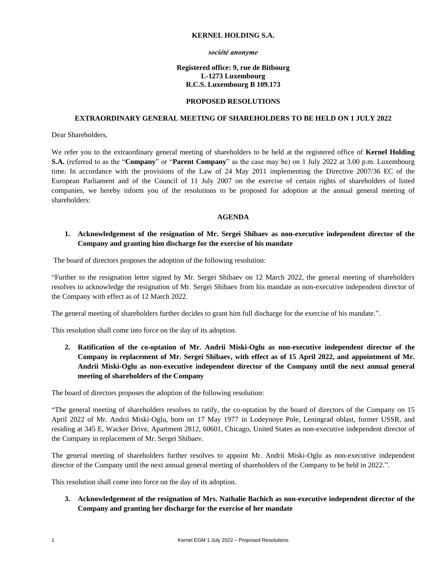## **KERNEL HOLDING S.A.**

#### *société anonyme*

## **Registered office: 9, rue de Bitbourg L-1273 Luxembourg R.C.S. Luxembourg B 109.173**

#### **PROPOSED RESOLUTIONS**

## **EXTRAORDINARY GENERAL MEETING OF SHAREHOLDERS TO BE HELD ON 1 JULY 2022**

Dear Shareholders,

We refer you to the extraordinary general meeting of shareholders to be held at the registered office of **Kernel Holding S.A.** (referred to as the "**Company**" or "**Parent Company**" as the case may be) on 1 July 2022 at 3.00 p.m. Luxembourg time. In accordance with the provisions of the Law of 24 May 2011 implementing the Directive 2007/36 EC of the European Parliament and of the Council of 11 July 2007 on the exercise of certain rights of shareholders of listed companies, we hereby inform you of the resolutions to be proposed for adoption at the annual general meeting of shareholders:

#### **AGENDA**

# **1. Acknowledgement of the resignation of Mr. Sergei Shibaev as non-executive independent director of the Company and granting him discharge for the exercise of his mandate**

The board of directors proposes the adoption of the following resolution:

"Further to the resignation letter signed by Mr. Sergei Shibaev on 12 March 2022, the general meeting of shareholders resolves to acknowledge the resignation of Mr. Sergei Shibaev from his mandate as non-executive independent director of the Company with effect as of 12 March 2022.

The general meeting of shareholders further decides to grant him full discharge for the exercise of his mandate.".

This resolution shall come into force on the day of its adoption.

**2. Ratification of the co-optation of Mr. Andrii Miski-Oglu as non-executive independent director of the Company in replacement of Mr. Sergei Shibaev, with effect as of 15 April 2022, and appointment of Mr. Andrii Miski-Oglu as non-executive independent director of the Company until the next annual general meeting of shareholders of the Company**

The board of directors proposes the adoption of the following resolution:

"The general meeting of shareholders resolves to ratify, the co-optation by the board of directors of the Company on 15 April 2022 of Mr. Andrii Miski-Oglu, born on 17 May 1977 in Lodeynoye Pole, Leningrad oblast, former USSR, and residing at 345 E, Wacker Drive, Apartment 2812, 60601, Chicago, United States as non-executive independent director of the Company in replacement of Mr. Sergei Shibaev.

The general meeting of shareholders further resolves to appoint Mr. Andrii Miski-Oglu as non-executive independent director of the Company until the next annual general meeting of shareholders of the Company to be held in 2022.".

This resolution shall come into force on the day of its adoption.

**3. Acknowledgement of the resignation of Mrs. Nathalie Bachich as non-executive independent director of the Company and granting her discharge for the exercise of her mandate**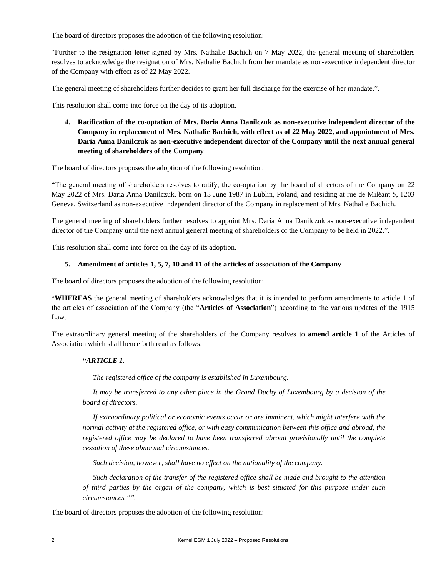The board of directors proposes the adoption of the following resolution:

"Further to the resignation letter signed by Mrs. Nathalie Bachich on 7 May 2022, the general meeting of shareholders resolves to acknowledge the resignation of Mrs. Nathalie Bachich from her mandate as non-executive independent director of the Company with effect as of 22 May 2022.

The general meeting of shareholders further decides to grant her full discharge for the exercise of her mandate.".

This resolution shall come into force on the day of its adoption.

**4. Ratification of the co-optation of Mrs. Daria Anna Danilczuk as non-executive independent director of the Company in replacement of Mrs. Nathalie Bachich, with effect as of 22 May 2022, and appointment of Mrs. Daria Anna Danilczuk as non-executive independent director of the Company until the next annual general meeting of shareholders of the Company**

The board of directors proposes the adoption of the following resolution:

"The general meeting of shareholders resolves to ratify, the co-optation by the board of directors of the Company on 22 May 2022 of Mrs. Daria Anna Danilczuk, born on 13 June 1987 in Lublin, Poland, and residing at rue de Miléant 5, 1203 Geneva, Switzerland as non-executive independent director of the Company in replacement of Mrs. Nathalie Bachich.

The general meeting of shareholders further resolves to appoint Mrs. Daria Anna Danilczuk as non-executive independent director of the Company until the next annual general meeting of shareholders of the Company to be held in 2022.".

This resolution shall come into force on the day of its adoption.

# **5. Amendment of articles 1, 5, 7, 10 and 11 of the articles of association of the Company**

The board of directors proposes the adoption of the following resolution:

"**WHEREAS** the general meeting of shareholders acknowledges that it is intended to perform amendments to article 1 of the articles of association of the Company (the "**Articles of Association**") according to the various updates of the 1915 Law.

The extraordinary general meeting of the shareholders of the Company resolves to **amend article 1** of the Articles of Association which shall henceforth read as follows:

#### **"***ARTICLE 1.*

*The registered office of the company is established in Luxembourg.*

*It may be transferred to any other place in the Grand Duchy of Luxembourg by a decision of the board of directors.*

*If extraordinary political or economic events occur or are imminent, which might interfere with the normal activity at the registered office, or with easy communication between this office and abroad, the registered office may be declared to have been transferred abroad provisionally until the complete cessation of these abnormal circumstances.*

*Such decision, however, shall have no effect on the nationality of the company.*

*Such declaration of the transfer of the registered office shall be made and brought to the attention of third parties by the organ of the company, which is best situated for this purpose under such circumstances."".*

The board of directors proposes the adoption of the following resolution: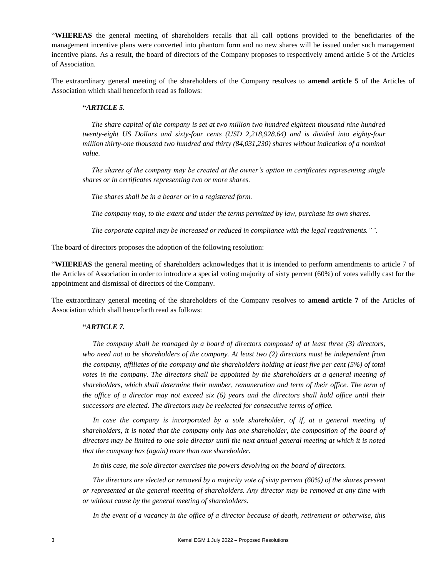"**WHEREAS** the general meeting of shareholders recalls that all call options provided to the beneficiaries of the management incentive plans were converted into phantom form and no new shares will be issued under such management incentive plans. As a result, the board of directors of the Company proposes to respectively amend article 5 of the Articles of Association.

The extraordinary general meeting of the shareholders of the Company resolves to **amend article 5** of the Articles of Association which shall henceforth read as follows:

# **"***ARTICLE 5.*

 *The share capital of the company is set at two million two hundred eighteen thousand nine hundred twenty-eight US Dollars and sixty-four cents (USD 2,218,928.64) and is divided into eighty-four million thirty-one thousand two hundred and thirty (84,031,230) shares without indication of a nominal value.*

 *The shares of the company may be created at the owner's option in certificates representing single shares or in certificates representing two or more shares.*

 *The shares shall be in a bearer or in a registered form.*

 *The company may, to the extent and under the terms permitted by law, purchase its own shares.* 

 *The corporate capital may be increased or reduced in compliance with the legal requirements."".*

The board of directors proposes the adoption of the following resolution:

"**WHEREAS** the general meeting of shareholders acknowledges that it is intended to perform amendments to article 7 of the Articles of Association in order to introduce a special voting majority of sixty percent (60%) of votes validly cast for the appointment and dismissal of directors of the Company.

The extraordinary general meeting of the shareholders of the Company resolves to **amend article 7** of the Articles of Association which shall henceforth read as follows:

# **"***ARTICLE 7.*

*The company shall be managed by a board of directors composed of at least three (3) directors, who need not to be shareholders of the company. At least two (2) directors must be independent from the company, affiliates of the company and the shareholders holding at least five per cent (5%) of total votes in the company. The directors shall be appointed by the shareholders at a general meeting of shareholders, which shall determine their number, remuneration and term of their office. The term of the office of a director may not exceed six (6) years and the directors shall hold office until their successors are elected. The directors may be reelected for consecutive terms of office.*

*In case the company is incorporated by a sole shareholder, of if, at a general meeting of shareholders, it is noted that the company only has one shareholder, the composition of the board of directors may be limited to one sole director until the next annual general meeting at which it is noted that the company has (again) more than one shareholder.*

*In this case, the sole director exercises the powers devolving on the board of directors.*

*The directors are elected or removed by a majority vote of sixty percent (60%) of the shares present or represented at the general meeting of shareholders. Any director may be removed at any time with or without cause by the general meeting of shareholders.*

*In the event of a vacancy in the office of a director because of death, retirement or otherwise, this*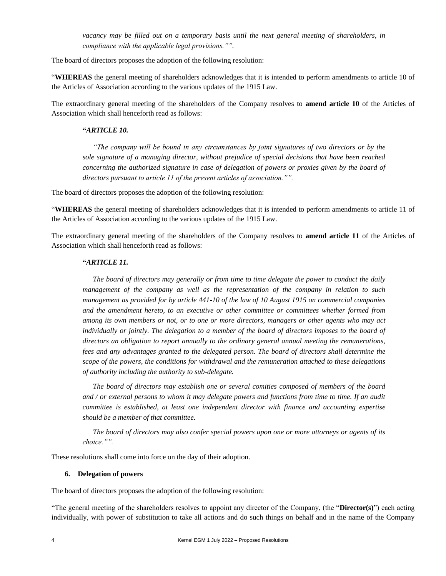*vacancy may be filled out on a temporary basis until the next general meeting of shareholders, in compliance with the applicable legal provisions."".*

The board of directors proposes the adoption of the following resolution:

"**WHEREAS** the general meeting of shareholders acknowledges that it is intended to perform amendments to article 10 of the Articles of Association according to the various updates of the 1915 Law.

The extraordinary general meeting of the shareholders of the Company resolves to **amend article 10** of the Articles of Association which shall henceforth read as follows:

# **"***ARTICLE 10.*

*"The company will be bound in any circumstances by joint signatures of two directors or by the sole signature of a managing director, without prejudice of special decisions that have been reached concerning the authorized signature in case of delegation of powers or proxies given by the board of directors pursuant to article 11 of the present articles of association."".*

The board of directors proposes the adoption of the following resolution:

"**WHEREAS** the general meeting of shareholders acknowledges that it is intended to perform amendments to article 11 of the Articles of Association according to the various updates of the 1915 Law.

The extraordinary general meeting of the shareholders of the Company resolves to **amend article 11** of the Articles of Association which shall henceforth read as follows:

## **"***ARTICLE 11.*

*The board of directors may generally or from time to time delegate the power to conduct the daily management of the company as well as the representation of the company in relation to such management as provided for by article 441-10 of the law of 10 August 1915 on commercial companies and the amendment hereto, to an executive or other committee or committees whether formed from among its own members or not, or to one or more directors, managers or other agents who may act individually or jointly. The delegation to a member of the board of directors imposes to the board of directors an obligation to report annually to the ordinary general annual meeting the remunerations, fees and any advantages granted to the delegated person. The board of directors shall determine the scope of the powers, the conditions for withdrawal and the remuneration attached to these delegations of authority including the authority to sub-delegate.*

*The board of directors may establish one or several comities composed of members of the board and / or external persons to whom it may delegate powers and functions from time to time. If an audit committee is established, at least one independent director with finance and accounting expertise should be a member of that committee.*

*The board of directors may also confer special powers upon one or more attorneys or agents of its choice."".*

These resolutions shall come into force on the day of their adoption.

#### **6. Delegation of powers**

The board of directors proposes the adoption of the following resolution:

"The general meeting of the shareholders resolves to appoint any director of the Company, (the "**Director(s)**") each acting individually, with power of substitution to take all actions and do such things on behalf and in the name of the Company